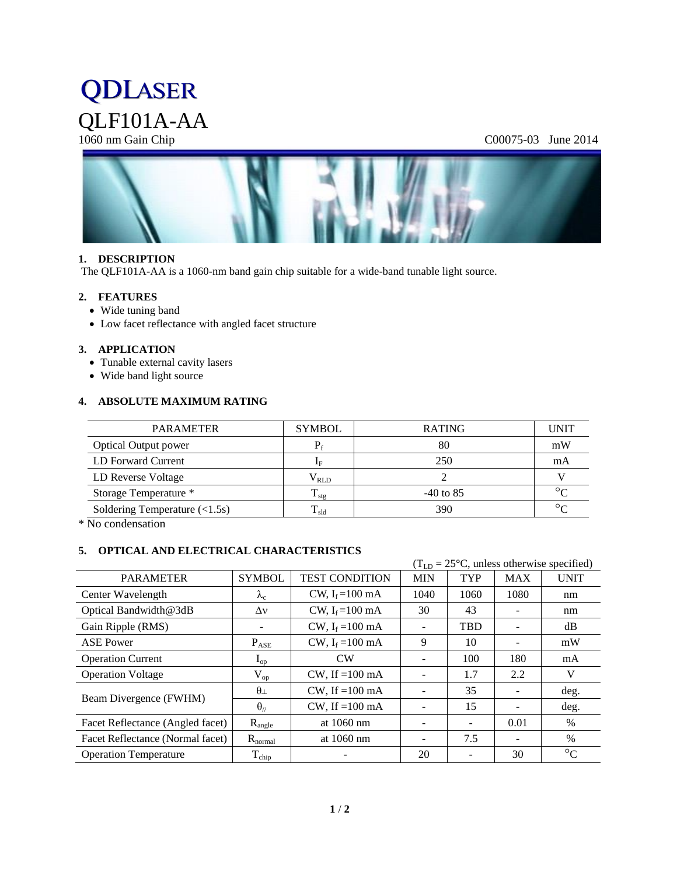# **QDLASER** QLF101A-AA<br>1060 nm Gain Chip

# C00075-03 June 2014



#### **1. DESCRIPTION**

The QLF101A-AA is a 1060-nm band gain chip suitable for a wide-band tunable light source.

#### **2. FEATURES**

- Wide tuning band
- Low facet reflectance with angled facet structure

# **3. APPLICATION**

- Tunable external cavity lasers
- Wide band light source

#### **4. ABSOLUTE MAXIMUM RATING**

| <b>PARAMETER</b>                               | <b>SYMBOL</b>        | <b>RATING</b> | <b>UNIT</b> |
|------------------------------------------------|----------------------|---------------|-------------|
| <b>Optical Output power</b>                    |                      | 80            | mW          |
| LD Forward Current                             | $\mathbf{I}_{\rm F}$ | 250           | mA          |
| LD Reverse Voltage                             | $\rm V_{RLD}$        |               |             |
| Storage Temperature *                          | $T_{\rm stg}$        | $-40$ to 85   | $\circ$     |
| Soldering Temperature $(\langle 1.5s \rangle)$ | $\rm T_{\rm sld}$    | 390           | $\circ$     |

\* No condensation

# **5. OPTICAL AND ELECTRICAL CHARACTERISTICS**

|                                  |                        |                            | $(TLD = 25oC, unless otherwise specified)$ |            |            |                 |
|----------------------------------|------------------------|----------------------------|--------------------------------------------|------------|------------|-----------------|
| <b>PARAMETER</b>                 | <b>SYMBOL</b>          | <b>TEST CONDITION</b>      | <b>MIN</b>                                 | <b>TYP</b> | <b>MAX</b> | <b>UNIT</b>     |
| Center Wavelength                | $\lambda_c$            | CW, $I_f = 100$ mA         | 1040                                       | 1060       | 1080       | nm              |
| Optical Bandwidth@3dB            | $\Delta v$             | CW, $I_f = 100$ mA         | 30                                         | 43         |            | nm              |
| Gain Ripple (RMS)                |                        | CW, $I_f = 100 \text{ mA}$ |                                            | <b>TBD</b> |            | dB              |
| <b>ASE Power</b>                 | $P_{ASE}$              | CW, $I_f = 100$ mA         | 9                                          | 10         |            | mW              |
| <b>Operation Current</b>         | $I_{op}$               | <b>CW</b>                  |                                            | 100        | 180        | mA              |
| <b>Operation Voltage</b>         | $\rm V_{op}$           | $CW$ , If =100 mA          |                                            | 1.7        | 2.2        | V               |
| Beam Divergence (FWHM)           | $\theta$               | $CW$ , If =100 mA          |                                            | 35         |            | deg.            |
|                                  | $\theta$ <sub>//</sub> | $CW$ , If =100 mA          |                                            | 15         |            | deg.            |
| Facet Reflectance (Angled facet) | $R_{angle}$            | at 1060 nm                 | -                                          | -          | 0.01       | $\%$            |
| Facet Reflectance (Normal facet) | $R_{\text{normal}}$    | at 1060 nm                 | $\overline{\phantom{a}}$                   | 7.5        |            | $\%$            |
| <b>Operation Temperature</b>     | $\rm T_{chip}$         |                            | 20                                         |            | 30         | $\rm ^{\circ}C$ |